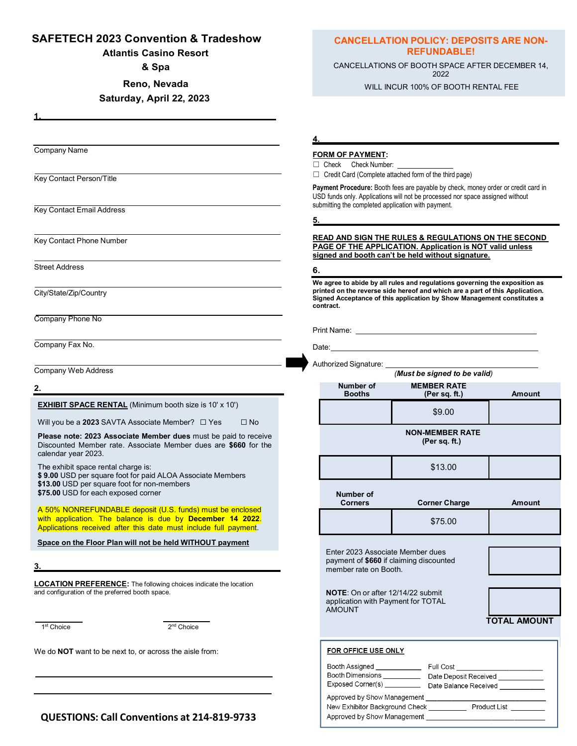### **SAFETECH 2023 Convention & Tradeshow**

**Atlantis Casino Resort** 

**& Spa**

**Reno, Nevada**

### **Saturday, April 22, 2023**

Company Name

 **1.**

Key Contact Person/Title

Key Contact Email Address

Key Contact Phone Number

Street Address

City/State/Zip/Country

Company Phone No

Company Fax No.

Company Web Address

**2.**

**EXHIBIT SPACE RENTAL** (Minimum booth size is 10' x 10')

Will you be a **2023** SAVTA Associate Member? □ Yes □ No

**Please note: 2023 Associate Member dues** must be paid to receive Discounted Member rate. Associate Member dues are **\$660** for the calendar year 2023.

The exhibit space rental charge is:

**\$ 9.00** USD per square foot for paid ALOA Associate Members **\$13.00** USD per square foot for non-members **\$75.00** USD for each exposed corner

A 50% NONREFUNDABLE deposit (U.S. funds) must be enclosed with application. The balance is due by **December 14 2022**. Applications received after this date must include full payment.

**Space on the Floor Plan will not be held WITHOUT payment**

**3.**

**LOCATION PREFERENCE:** The following choices indicate the location and configuration of the preferred booth space.

1 st Choice 2

2<sup>nd</sup> Choice

*\_*

We do **NOT** want to be next to, or across the aisle from:

## **CANCELLATION POLICY: DEPOSITS ARE NON-REFUNDABLE!**

CANCELLATIONS OF BOOTH SPACE AFTER DECEMBER 14, 2022

WILL INCUR 100% OF BOOTH RENTAL FEE

**4.**

#### **FORM OF PAYMENT:**

□ Check Check Number: \_

☐ Credit Card (Complete attached form of the third page)

**Payment Procedure:** Booth fees are payable by check, money order or credit card in USD funds only. Applications will not be processed nor space assigned without submitting the completed application with payment.

**5.**

#### **READ AND SIGN THE RULES & REGULATIONS ON THE SECOND PAGE OF THE APPLICATION. Application is NOT valid unless signed and booth can't be held without signature.**

#### **6.**

**We agree to abide by all rules and regulations governing the exposition as printed on the reverse side hereof and which are a part of this Application. Signed Acceptance of this application by Show Management constitutes a contract.**

Date:

Authorized Signature:

Print Name: *(Must be signed to be valid)* **Number of MEMBER RATE Booths (Per sq. ft.) Amount** \$9.00 **NON-MEMBER RATE (Per sq. ft.)** \$13.00 **Number of Corner Charge Amount** \$75.00 Enter 2023 Associate Member dues payment of **\$660** if claiming discounted member rate on Booth. **NOTE**: On or after 12/14/22 submit application with Payment for TOTAL AMOUNT  **TOTAL AMOUNT**FOR OFFICE USE ONLY Booth Assigned Full Cost Booth Dimensions \_ \_ Date Deposit Received

**EMAIL:**  Date Balance Received New Exhibitor Background Check \_\_\_\_\_\_ Product List \_ **Approved by Show Management** 

**QUESTIONS: Call Conventions at 214-819-9733**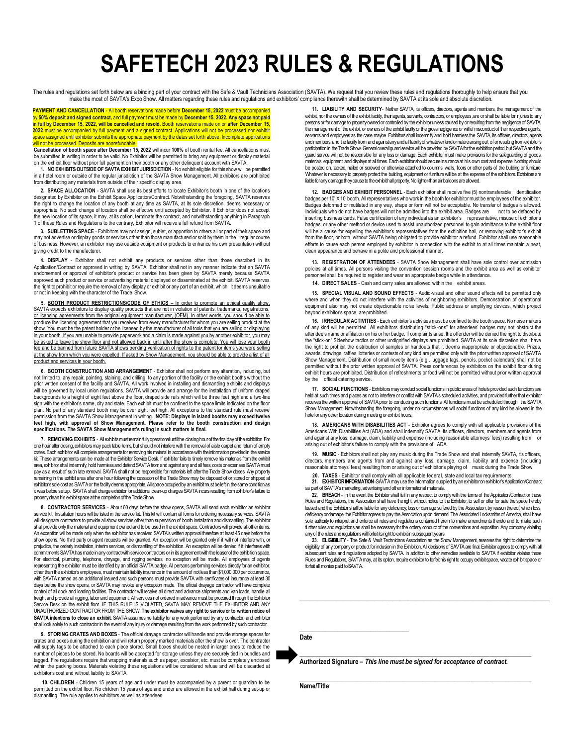# **SAFETECH 2023 RULES & REGULATIONS**

The rules and regulations set forth below are a binding part of your contract with the Safe & Vault Technicians Association (SAVTA). We request that you review these rules and regulations thoroughly to help ensure that you

**PAYMENT AND CANCELLATION - All booth reservations made before <b>December 15, 2022** must be accorby **50% deposit and signed contract,** and full payment must be made by **December 15, 2022. Any space not paid in full by December 15, 2022, will be cancelled and resold.** Booth reservations made on or **after December 15, 2022** must be accompanied by full payment and a signed contract. Applications will not be processed nor exhibit space assigned until exhibitor submits the appropriate payment by the dates set forth above. Incomplete applications will not be processed. Deposits are nonrefundable.

**Cancellation of booth space after December 15, 2022** will incur **100%** of booth rental fee. All cancellations must be submitted in writing in order to be valid. No Exhibitor will be permitted to bring any equipment or display material on the exhibit floor without prior full payment on their booth or any other delinquent account with SAVTA.

**1. NO EXHIBITSOUTSIDEOF SAVTA EXHIBIT JURISDICTION** - No exhibit eligible for this show will be permitted in a hotel room or outside of the regular jurisdiction of the SAVTA Show Management. All exhibitors are prohibited from distributing any materials from outside of their specific display area.

**2. SPACE ALLOCATION** - SAVTA shall use its best efforts to locate Exhibitor's booth in one of the locations designated by Exhibitor on the Exhibit Space Application/Contract. Notwithstanding the foregoing, SAVTA reserves the right to change the location of any booth at any time as SAVTA, at its sole discretion, deems necessary or appropriate. No such change of location shall be effective until accepted by Exhibitor. If Exhibitor does not accept the new location of its space, it may, at its option, terminate the contract, and notwithstanding anything in Paragraph 1 of these Rules and Regulations to the contrary, Exhibitor will receive a full refund from SAVTA.

**3. SUBLETTING SPACE** - Exhibitors may not assign, sublet, or apportion to others all or part of their space and may not advertise or display goods or services other than those manufactured or sold by them in the regular course<br>of business. However, an exhibitor may use outside equipment or products to enhance his own presentation wi giving credit to the manufacturer.

4. DISPLAY - Exhibitor shall not exhibit any products or services other than those described in its<br>Application/Contract or approved in writing by SAVTA. Exhibitor shall not in any manner indicate that an SAVTA endorsement or approval of exhibitor's product or service has been given by SAVTA merely because SAVTA approved such product or service or advertising material displayed or disseminated at the exhibit. SAVTA reserves<br>the right to prohibit or require the removal of any display or exhibit or any part of an exhibit, which ⊥it or not in keeping with the character of the Trade Show.

5. **BOOTH PRODUCT RESTRICTIONS/CODE OF ETHICS** - In order to promote an ethical quality show, SAVTA expects exhibitors to display quality products that are not in violation of patents, trademarks, registrations, or licensing agreements from the original equipment manufacturer, (OEM). In other words, you should be able to produce the licensing agreement that you received from every manufacturer for whom you are selling product at the show. You must be the patent holder or be licensed by the manufacturer of all tools that you are selling or displaying in your booth. If you are unable to provide paperwork and a claim is made against you by another exhibitor, you may be asked to leave the show floor and not allowed back in until after the show is complete. You will lose your booth Fee and be banned from future SAVTA shows pending verification of rights to the patent for items you were selling at the show from which you were expelled. If asked by Show Management, you should be able to provide a list of all product and services in your booth.

**6. BOOTH CONSTRUCTION AND ARRANGEMENT** - Exhibitor shall not perform any alteration, including, but not limited to, any repair, painting, staining, and drilling, to any portion of the facility or the exhibit booths without the<br>prior written consent of the facility and SAVTA. All work involved in installing and dismantlin will be governed by local union regulations. SAVTA will provide and arrange for the installation of uniform draped backgrounds to a height of eight feet above the floor, draped side rails which will be three feet high and a two-line sign with the exhibitor's name, city and state. Each exhibit must be confined to the space limits indicated on the floor plan. No part of any standard booth may be over eight feet high. All exceptions to the standard rule must receive permission from the SAVTA Show Management in writing. **NOTE: Displays in island booths may exceed twelve feet high, with approval of Show Management. Please refer to the booth construction and design specifications. The SAVTA Show Management's ruling in such matters is final.**

7. REMOVING EXHIBITS - Allexhibits must remain fully operational until the closing hour of the final day of the exhibition. For<br>one hour after closing, exhibitors may pack table items, but should not interfere with the rem ates. Each exhibitor will complete arrangements for removing his material in accordance with the information provided in the ser kit. These arrangements can be made at the Exhibitor Service Desk. If exhibitor fails to timely remove his materials from the exhibit area, exhibitor shall indemnify, hold harmless and defend SAVTA from and against any and all fees, costs or expenses SAVTA must pay as a result of such late removal. SAVTA shall not be responsible for materials left after the Trade Show closes. Any property remaining in the exhibit area after one hour following the cessation of the Trade Show may be disposed of or stored or shipped at exhibitor's sole cost as SAVTA or the facility deems appropriate. All space occupied by an exhibit must be left in the same condition as<br>it was before setup. SAVTA shall charge exhibitor for additional clean-up charges SA properly clean his exhibit space at the completion of the Trade Show.

**8. CONTRACTOR SERVICES** - About 60 days before the show opens, SAVTA will send each exhibitor an exhibitor service kit. Installation hours will be listed in the service kit. This kit will contain all forms for ordering necessary services. SAVTA<br>will designate contractors to provide all show services other than supervision of bo shall provide only the material and equipment owned and to be used in the exhibit space. Contractors will provide all other items. An exception will be made only when the exhibitor has received SAVTA's written approval therefore at least 45 days before the<br>show opens. No third party or agent requests will be granted. An exception will be granted only prejudice, the orderly installation, interim services, or dismantling of the exhibition. An exception will be denied if it interferes with nmitments SAVTA has made in any contract with service contractors or in its agreement with the leaser of the exhibition space. For electrical, plumbing, telephone, drayage, and rigging services, no exception will be made. All employees of agents<br>representing the exhibitor must be identified by an official SAVTA badge. All persons performing servic other than the exhibitor's employees, must maintain liability insurance in the amount of not less than \$1,000,000 per occurrence, with SAVTA named as an additional insured and such persons must provide SAVTA with certificates of insurance at least 30 days before the show opens, or SAVTA may revoke any exception made. The official drayage contractor will have complete control of all dock and loading facilities. The contractor will receive all direct and advance shipments and van loads, handle all freight and provide all rigging, labor and equipment. All services not ordered in advance must be procured through the Exhibitor<br>Service Desk on the exhibit floor. IF THIS RULE IS VIOLATED, SAVTA MAY REMOVE THE EXHIBITOR A UNAUTHORIZED CONTRACTOR FROM THE SHOW. **The exhibitor waives any right to service or to written notice of SAVTA intentions to close an exhibit.** SAVTA assumes no liability for any work performed by any contractor, and exhibitor shall look solely to such contractor in the event of any injury or damage resulting from the work performed by such contractor.

**9. STORING CRATES AND BOXES** - The official drayage contractor will handle and provide storage spaces for crates and boxes during the exhibition and will return properly marked materials after the show is over. The contractor<br>will supply tags to be attached to each piece stored. Small boxes should be nested in larger ones to r number of pieces to be stored. No boards will be accepted for storage unless they are securely tied in bundles and tagged. Fire regulations require that wrapping materials such as paper, excelsior, etc. must be completely enclosed within the packing boxes. Materials violating these regulations will be considered refuse and will be discarded at exhibitor's cost and without liability to SAVTA.

10. CHILDREN - Children 15 years of age and under must be accompanied by a parent or guardian to be<br>permitted on the exhibit floor. No children 15 years of age and under are allowed in the exhibit hall during set-up or dismantling. The rule applies to exhibitors as well as attendees.

**11. LIABILITY AND SECURITY**- Neither SAVTA, its officers, directors, agents and members, the management of the exhibit, nor the owners of the exhibit facility, their agents, servants, contractors, or employees ,are or shall be liable for injuries to any<br>persons or for damage to property owned or controlled by the exhibitor unless c the management of the exhibit, or owners of the exhibit facility or the gross negligence or willful misconduct of their respective agents, servants and employees as the case maybe. Exhibitors shall indemnify and hold harmless the SAVTA, its officers, directors, agents andmembers,and thefacilityfrom andagainstanyandall liabilityof whateverkindornaturearisingout of orresultingfromexhibitor's participation in the Trade Show. General overall guard service will be provided by SAVTA for the exhibition period, but SAVTA and the guard service will not be responsible for any loss or damage. Each exhibitor must make provisions for the safeguarding of goods, materials, equipment, and displays at all times. Each exhibitor should secure insurance at his own cost and expense. Nothing should be posted on, tacked, nailed or screwed or otherwise attached to columns, walls, floors or other parts of the building or furniture. Whatever is necessary to properly protect the building, equipment or furniture will be at the expense of the exhibitors. Exhibitors are liable for any damage they cause to the exhibit hall property. No lighter-than air balloons are allowed.

**12. BADGES AND EXHIBIT PERSONNEL** - Each exhibitor shall receive five (5) nontransferable identification badges per 10' X 10' booth. All representatives who work in the booth for exhibitor must be employees of the exhibitor. Badges deformed or mutilated in any way, shape or form will not be acceptable. No transfer of badges is allowed. Individuals who do not have badges will not be admitted into the exhibit area. Badges are not to be defaced by inserting business cards. False certification of any individual as an exhibitor's representative, misuse of exhibitor's badges, or any other method or device used to assist unauthorized personnel to gain admittance to the exhibit floor will be a cause for expelling the exhibitor's representatives from the exhibition hall, or removing exhibitor's exhibit from the floor, or both, without SAVTA being obligated to provide exhibitor a refund. Exhibitor shall use reasonable efforts to cause each person employed by exhibitor in connection with the exhibit to at all times maintain a neat, clean appearance and behave in a polite and professional manner.

**13. REGISTRATION OF ATTENDEES** - SAVTA Show Management shall have sole control over admission policies at all times. All persons visiting the convention session rooms and the exhibit area as well as exhibitor personnel shall be required to register and wear an appropriate badge while in attendance.

14. DIRECT SALES - Cash and carry sales are allowed within the

**15. SPECIAL VISUAL AND SOUND EFFECTS** - Audio-visual and other sound effects will be permitted only where and when they do not interfere with the activities of neighboring exhibitors. Demonstration of operational equipment also may not create objectionable noise levels. Public address or amplifying devices, which project beyond exhibitor's space, are prohibited.

**16. IRREGULAR ACTIVITIES** - Each exhibitor's activities must be confined to the booth space. No noise makers of any kind will be permitted. All exhibitors distributing "stick-ons" for attendees' badges may not obstruct the<br>attendee's name or affiliation on his or her badge. If complaints arise, the offender will be denied the rig the "stick-on" Sideshow tactics or other undignified displays are prohibited. SAVTA at its sole discretion shall have the right to prohibit the distribution of samples or handouts that it deems inappropriate or objectionable. Prizes, awards, drawings, raffles, lotteries or contests of any kind are permitted only with the prior written approval of SAVTA Show Management. Distribution of small novelty items (e.g., luggage tags, pencils, pocket calendars) shall not be<br>permitted without the prior written approval of SAVTA. Press conferences by exhibitors on the exhibit floor exhibit hours are prohibited. Distribution of refreshments or food will not be permitted without prior written approval by the official catering service.

17. SOCIAL FUNCTIONS - Exhibitors may conduct social functions in public areas of hotels provided such functions are<br>held at such times and places as not to interfere or conflict with SAVTA's scheduled activities, and prov receives the written approval of SAVTA prior to conducting such functions. All functions must be scheduled through the SAVTA Show Management. Notwithstanding the foregoing, under no circumstances will social functions of any kind be allowed in the<br>hotel or any other location during meeting or exhibit hours.

18. AMERICANS WITH DISABILITIES ACT - Exhibitor agrees to comply with all applicable provisions of the<br>Americans With Disabilities Act (ADA) and shall indemnify SAVTA, its officers, directors, members and agents from and against any loss, damage, claim, liability and expense (including reasonable attorneys' fees) resulting from or arising out of exhibitor's failure to comply with the provisions of ADA.

**19. MUSIC** - Exhibitors shall not play any music during the Trade Show and shall indemnify SAVTA, it's officers, directors, members and agents from and against any loss, damage, claim, liability and expense (including reasonable attorneys' fees) resulting from or arising out of exhibitor's playing of music during the Trade Show.

**20. TAXES** - Exhibitor shall comply with all applicable federal, state and local tax requirements.

**21. EXHIBITOR INFORMATION** -SAVTA may use the information supplied by an exhibitor on exhibitor's Application/Contract<br>as part of SAVTA's marketing, advertising and other informational materials.

**22. BREACH** - In the event the Exhibitor shall fail in any respect to comply with the terms of the Application/Contract or these Rules and Regulations, the Association shall have the right, without notice to the Exhibitor, to sell or offer for sale the space hereby leased and the Exhibitor shall be liable for any deficiency, loss or damage suffered by the Association,by reason thereof,which loss, deficiencyor damage, the Exhibitor agrees to pay the Association upon demand. The Associated Locksmiths of America, shall have sole authority to interpret and enforce all rules and regulations contained herein to make amendments thereto and to make such further rules and regulations as shall be necessary for the orderly conduct of the conventions and exposition. Any company violating

any of the rules andregulationswillforfeititsrighttoexhibitinsubsequentyears. **23. ELIGIBILITY** - The Safe & Vault Technicians Association as the Show Management, reserves the right to determine the eligibility of any companyor product for inclusion in the Exhibition.All decisionsof SAVTAare final.Exhibitor agrees to complywith all subsequent rules and regulations adopted by SAVTA. In addition to other remedies available to SAVTA if exhibitor violates these<br>Rules and Regulations, SAVTA may, at its option, require exhibitor to forfeit his right to occ forfeit all monies paid toSAVTA.

**\_\_\_\_\_\_\_\_\_\_\_\_\_\_\_\_\_\_\_\_\_\_\_\_\_\_\_\_\_\_\_\_\_\_\_\_\_\_\_\_\_\_\_\_\_\_\_\_\_\_\_\_\_\_\_\_\_\_\_\_\_\_\_\_\_\_\_\_\_\_\_\_\_\_\_\_\_\_\_\_\_\_\_\_\_\_\_\_\_\_\_\_\_\_\_\_\_**

**Date**

**Authorized Signature –** *This line must be signed for acceptance of contract.*

**\_\_\_\_\_\_\_\_\_\_\_\_\_\_\_\_\_\_\_\_\_\_\_\_\_\_\_\_\_\_\_\_\_\_\_\_\_\_\_\_\_\_\_\_\_\_\_\_\_\_\_\_\_\_\_\_\_\_\_\_\_\_\_\_\_\_\_\_\_\_\_\_**

*\_\_\_\_\_\_\_\_\_\_\_\_\_\_\_\_\_\_\_\_\_\_\_\_\_\_\_\_\_\_\_\_\_\_\_\_\_\_\_\_\_\_\_\_\_\_\_\_\_\_\_\_\_\_\_\_\_\_\_\_\_\_\_\_\_\_\_\_\_\_\_\_*

**Name/Title**

**\_\_\_\_\_\_\_\_\_\_\_\_\_\_\_\_\_\_\_\_\_\_\_\_\_\_\_\_\_\_\_\_\_\_**